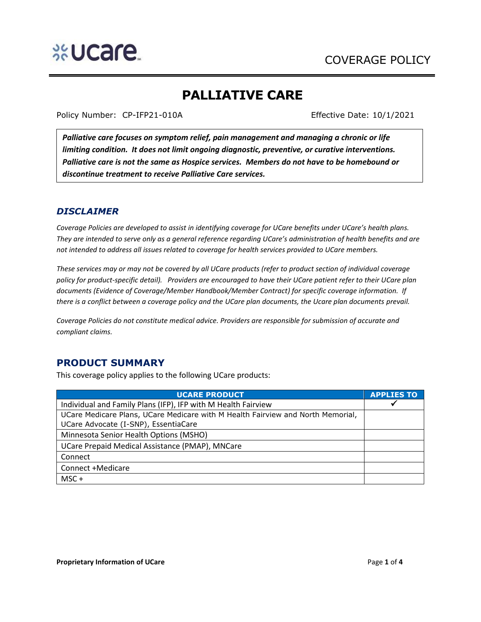

# **PALLIATIVE CARE**

Policy Number: CP-IFP21-010A Effective Date: 10/1/2021

*Palliative care focuses on symptom relief, pain management and managing a chronic or life limiting condition. It does not limit ongoing diagnostic, preventive, or curative interventions. Palliative care is not the same as Hospice services. Members do not have to be homebound or discontinue treatment to receive Palliative Care services.*

## *DISCLAIMER*

*Coverage Policies are developed to assist in identifying coverage for UCare benefits under UCare's health plans. They are intended to serve only as a general reference regarding UCare's administration of health benefits and are not intended to address all issues related to coverage for health services provided to UCare members.*

*These services may or may not be covered by all UCare products (refer to product section of individual coverage policy for product-specific detail). Providers are encouraged to have their UCare patient refer to their UCare plan documents (Evidence of Coverage/Member Handbook/Member Contract) for specific coverage information. If there is a conflict between a coverage policy and the UCare plan documents, the Ucare plan documents prevail.*

*Coverage Policies do not constitute medical advice. Providers are responsible for submission of accurate and compliant claims.* 

# **PRODUCT SUMMARY**

This coverage policy applies to the following UCare products:

| <b>UCARE PRODUCT</b>                                                            | <b>APPLIES TO</b> |
|---------------------------------------------------------------------------------|-------------------|
| Individual and Family Plans (IFP), IFP with M Health Fairview                   |                   |
| UCare Medicare Plans, UCare Medicare with M Health Fairview and North Memorial, |                   |
| UCare Advocate (I-SNP), EssentiaCare                                            |                   |
| Minnesota Senior Health Options (MSHO)                                          |                   |
| UCare Prepaid Medical Assistance (PMAP), MNCare                                 |                   |
| Connect                                                                         |                   |
| Connect +Medicare                                                               |                   |
| $MSC +$                                                                         |                   |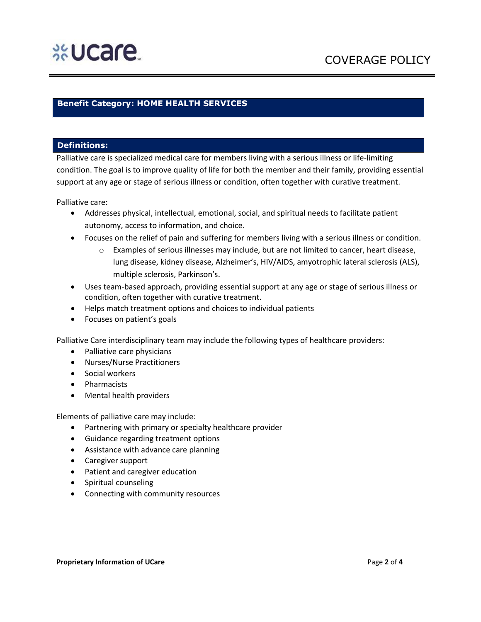# %Ucare

### **Benefit Category: HOME HEALTH SERVICES**

### **Definitions:**

Palliative care is specialized medical care for members living with a serious illness or life-limiting condition. The goal is to improve quality of life for both the member and their family, providing essential support at any age or stage of serious illness or condition, often together with curative treatment.

Palliative care:

- Addresses physical, intellectual, emotional, social, and spiritual needs to facilitate patient autonomy, access to information, and choice.
- Focuses on the relief of pain and suffering for members living with a serious illness or condition.
	- o Examples of serious illnesses may include, but are not limited to cancer, heart disease, lung disease, kidney disease, Alzheimer's, HIV/AIDS, amyotrophic lateral sclerosis (ALS), multiple sclerosis, Parkinson's.
- Uses team-based approach, providing essential support at any age or stage of serious illness or condition, often together with curative treatment.
- Helps match treatment options and choices to individual patients
- Focuses on patient's goals

Palliative Care interdisciplinary team may include the following types of healthcare providers:

- Palliative care physicians
- Nurses/Nurse Practitioners
- Social workers
- Pharmacists
- Mental health providers

Elements of palliative care may include:

- Partnering with primary or specialty healthcare provider
- Guidance regarding treatment options
- Assistance with advance care planning
- Caregiver support
- Patient and caregiver education
- Spiritual counseling
- Connecting with community resources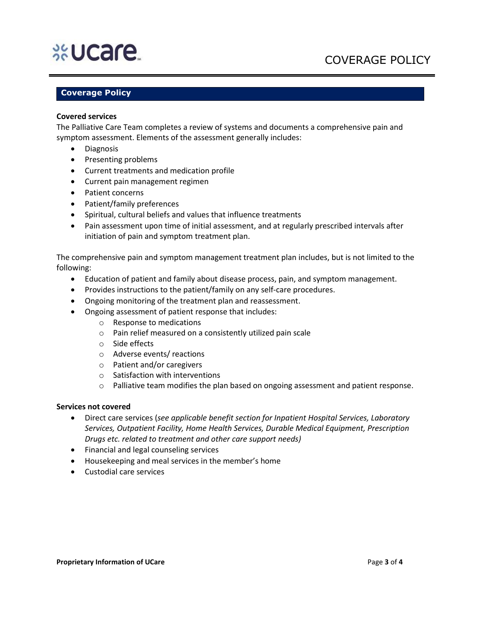# **%Ucare**

# COVERAGE POLICY

## **Coverage Policy**

### **Covered services**

The Palliative Care Team completes a review of systems and documents a comprehensive pain and symptom assessment. Elements of the assessment generally includes:

- Diagnosis
- Presenting problems
- Current treatments and medication profile
- Current pain management regimen
- Patient concerns
- Patient/family preferences
- Spiritual, cultural beliefs and values that influence treatments
- Pain assessment upon time of initial assessment, and at regularly prescribed intervals after initiation of pain and symptom treatment plan.

The comprehensive pain and symptom management treatment plan includes, but is not limited to the following:

- Education of patient and family about disease process, pain, and symptom management.
- Provides instructions to the patient/family on any self-care procedures.
- Ongoing monitoring of the treatment plan and reassessment.
- Ongoing assessment of patient response that includes:
	- o Response to medications
	- o Pain relief measured on a consistently utilized pain scale
	- o Side effects
	- o Adverse events/ reactions
	- o Patient and/or caregivers
	- o Satisfaction with interventions
	- o Palliative team modifies the plan based on ongoing assessment and patient response.

#### **Services not covered**

- Direct care services (*see applicable benefit section for Inpatient Hospital Services, Laboratory Services, Outpatient Facility, Home Health Services, Durable Medical Equipment, Prescription Drugs etc. related to treatment and other care support needs)*
- Financial and legal counseling services
- Housekeeping and meal services in the member's home
- Custodial care services